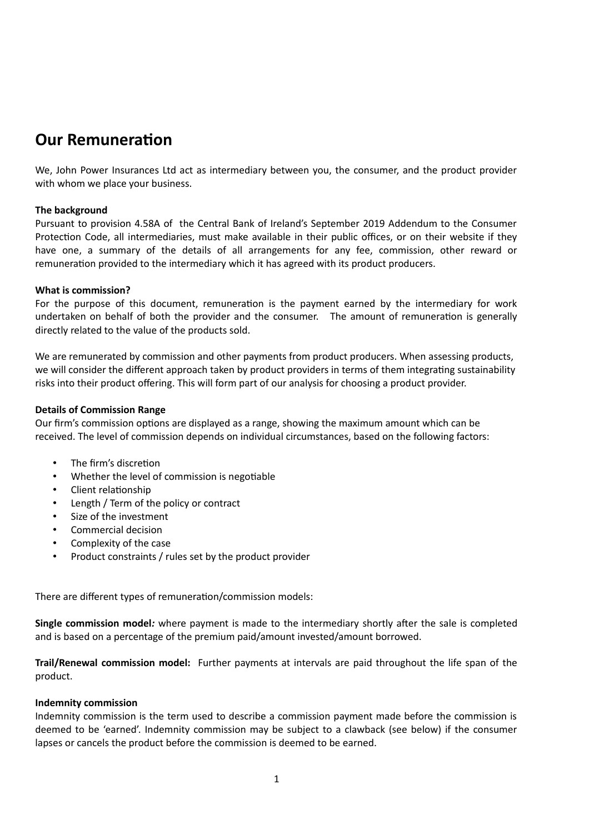# **Our Remuneration**

We, John Power Insurances Ltd act as intermediary between you, the consumer, and the product provider with whom we place your business.

# **The background**

Pursuant to provision 4.58A of the Central Bank of Ireland's September 2019 Addendum to the Consumer Protection Code, all intermediaries, must make available in their public offices, or on their website if they have one, a summary of the details of all arrangements for any fee, commission, other reward or remuneration provided to the intermediary which it has agreed with its product producers.

## **What is commission?**

For the purpose of this document, remuneration is the payment earned by the intermediary for work undertaken on behalf of both the provider and the consumer. The amount of remuneration is generally directly related to the value of the products sold.

We are remunerated by commission and other payments from product producers. When assessing products, we will consider the different approach taken by product providers in terms of them integrating sustainability risks into their product offering. This will form part of our analysis for choosing a product provider.

# **Details of Commission Range**

Our firm's commission options are displayed as a range, showing the maximum amount which can be received. The level of commission depends on individual circumstances, based on the following factors:

- The firm's discretion
- Whether the level of commission is negotiable
- Client relationship
- Length / Term of the policy or contract
- Size of the investment
- Commercial decision
- Complexity of the case
- Product constraints / rules set by the product provider

There are different types of remuneration/commission models:

**Single commission model***:* where payment is made to the intermediary shortly after the sale is completed and is based on a percentage of the premium paid/amount invested/amount borrowed.

**Trail/Renewal commission model:** Further payments at intervals are paid throughout the life span of the product.

## **Indemnity commission**

Indemnity commission is the term used to describe a commission payment made before the commission is deemed to be 'earned'. Indemnity commission may be subject to a clawback (see below) if the consumer lapses or cancels the product before the commission is deemed to be earned.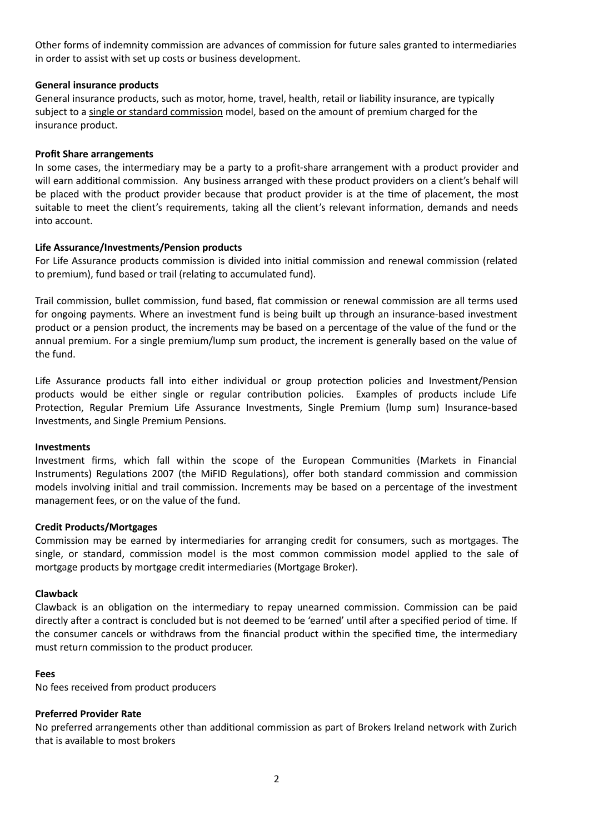Other forms of indemnity commission are advances of commission for future sales granted to intermediaries in order to assist with set up costs or business development.

### **General insurance products**

General insurance products, such as motor, home, travel, health, retail or liability insurance, are typically subject to a single or standard commission model, based on the amount of premium charged for the insurance product.

#### **Profit Share arrangements**

In some cases, the intermediary may be a party to a profit-share arrangement with a product provider and will earn additional commission. Any business arranged with these product providers on a client's behalf will be placed with the product provider because that product provider is at the time of placement, the most suitable to meet the client's requirements, taking all the client's relevant information, demands and needs into account.

#### **Life Assurance/Investments/Pension products**

For Life Assurance products commission is divided into initial commission and renewal commission (related to premium), fund based or trail (relating to accumulated fund).

Trail commission, bullet commission, fund based, flat commission or renewal commission are all terms used for ongoing payments. Where an investment fund is being built up through an insurance-based investment product or a pension product, the increments may be based on a percentage of the value of the fund or the annual premium. For a single premium/lump sum product, the increment is generally based on the value of the fund.

Life Assurance products fall into either individual or group protection policies and Investment/Pension products would be either single or regular contribution policies. Examples of products include Life Protection, Regular Premium Life Assurance Investments, Single Premium (lump sum) Insurance-based Investments, and Single Premium Pensions.

#### **Investments**

Investment firms, which fall within the scope of the European Communities (Markets in Financial Instruments) Regulations 2007 (the MiFID Regulations), offer both standard commission and commission models involving initial and trail commission. Increments may be based on a percentage of the investment management fees, or on the value of the fund.

#### **Credit Products/Mortgages**

Commission may be earned by intermediaries for arranging credit for consumers, such as mortgages. The single, or standard, commission model is the most common commission model applied to the sale of mortgage products by mortgage credit intermediaries (Mortgage Broker).

#### **Clawback**

Clawback is an obligation on the intermediary to repay unearned commission. Commission can be paid directly after a contract is concluded but is not deemed to be 'earned' until after a specified period of time. If the consumer cancels or withdraws from the financial product within the specified time, the intermediary must return commission to the product producer.

#### **Fees**

No fees received from product producers

#### **Preferred Provider Rate**

No preferred arrangements other than additional commission as part of Brokers Ireland network with Zurich that is available to most brokers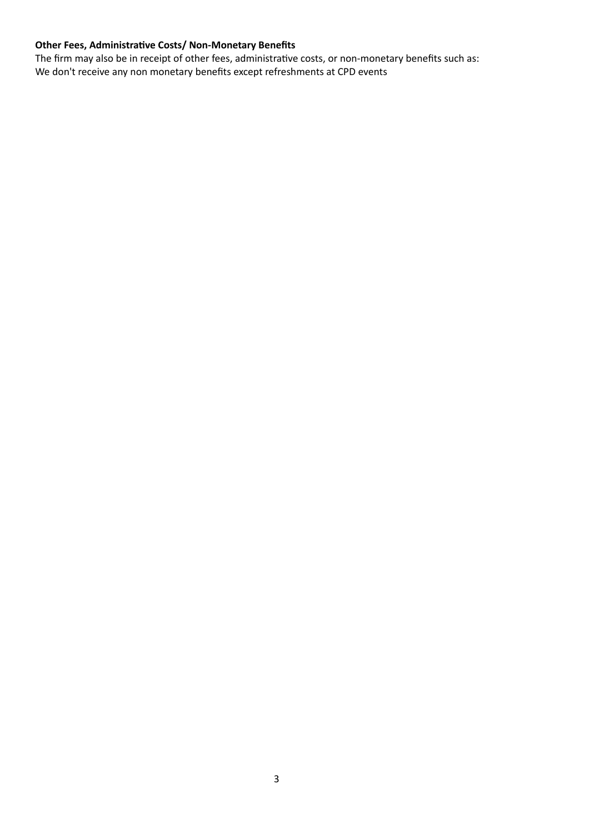# **Other Fees, Administrative Costs/ Non-Monetary Benefits**

The firm may also be in receipt of other fees, administrative costs, or non-monetary benefits such as: We don't receive any non monetary benefits except refreshments at CPD events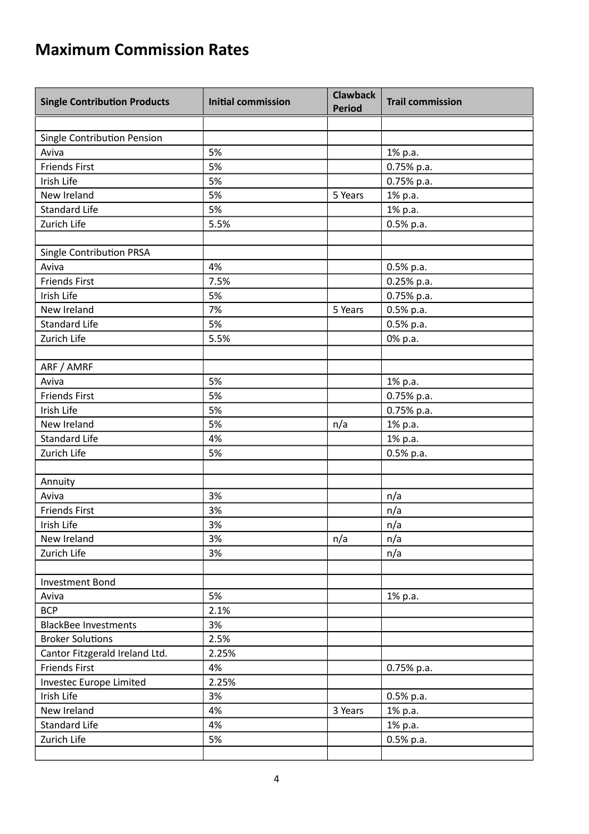# **Maximum Commission Rates**

| <b>Single Contribution Products</b> | <b>Initial commission</b> | <b>Clawback</b><br><b>Period</b> | <b>Trail commission</b> |
|-------------------------------------|---------------------------|----------------------------------|-------------------------|
|                                     |                           |                                  |                         |
| Single Contribution Pension         |                           |                                  |                         |
| Aviva                               | 5%                        |                                  | 1% p.a.                 |
| <b>Friends First</b>                | 5%                        |                                  | 0.75% p.a.              |
| Irish Life                          | 5%                        |                                  | 0.75% p.a.              |
| New Ireland                         | 5%                        | 5 Years                          | 1% p.a.                 |
| <b>Standard Life</b>                | 5%                        |                                  | 1% p.a.                 |
| Zurich Life                         | 5.5%                      |                                  | $0.5%$ p.a.             |
|                                     |                           |                                  |                         |
| Single Contribution PRSA            |                           |                                  |                         |
| Aviva                               | 4%                        |                                  | $0.5%$ p.a.             |
| <b>Friends First</b>                | 7.5%                      |                                  | $0.25%$ p.a.            |
| Irish Life                          | 5%                        |                                  | $0.75%$ p.a.            |
| New Ireland                         | 7%                        | 5 Years                          | $0.5%$ p.a.             |
| <b>Standard Life</b>                | 5%                        |                                  | $0.5%$ p.a.             |
| Zurich Life                         | 5.5%                      |                                  | 0% p.a.                 |
|                                     |                           |                                  |                         |
| ARF / AMRF                          |                           |                                  |                         |
| Aviva                               | 5%                        |                                  | 1% p.a.                 |
| <b>Friends First</b>                | 5%                        |                                  | 0.75% p.a.              |
| Irish Life                          | 5%                        |                                  | 0.75% p.a.              |
| New Ireland                         | 5%                        | n/a                              | 1% p.a.                 |
| <b>Standard Life</b>                | 4%                        |                                  | 1% p.a.                 |
| Zurich Life                         | 5%                        |                                  | $0.5%$ p.a.             |
|                                     |                           |                                  |                         |
| Annuity                             |                           |                                  |                         |
| Aviva                               | 3%                        |                                  | n/a                     |
| <b>Friends First</b>                | 3%                        |                                  | n/a                     |
| Irish Life                          | 3%                        |                                  | n/a                     |
| New Ireland                         | 3%                        | n/a                              | n/a                     |
| Zurich Life                         | 3%                        |                                  | n/a                     |
|                                     |                           |                                  |                         |
| Investment Bond                     |                           |                                  |                         |
| Aviva                               | 5%                        |                                  | 1% p.a.                 |
| <b>BCP</b>                          | 2.1%                      |                                  |                         |
| <b>BlackBee Investments</b>         | 3%                        |                                  |                         |
| <b>Broker Solutions</b>             | 2.5%                      |                                  |                         |
| Cantor Fitzgerald Ireland Ltd.      | 2.25%                     |                                  |                         |
|                                     |                           |                                  |                         |
| <b>Friends First</b>                | 4%                        |                                  | 0.75% p.a.              |
| Investec Europe Limited             | 2.25%                     |                                  |                         |
| Irish Life                          | 3%                        |                                  | $0.5%$ p.a.             |
| New Ireland                         | 4%                        | 3 Years                          | 1% p.a.                 |
| <b>Standard Life</b>                | 4%                        |                                  | 1% p.a.                 |
| Zurich Life                         | 5%                        |                                  | $0.5\%$ p.a.            |
|                                     |                           |                                  |                         |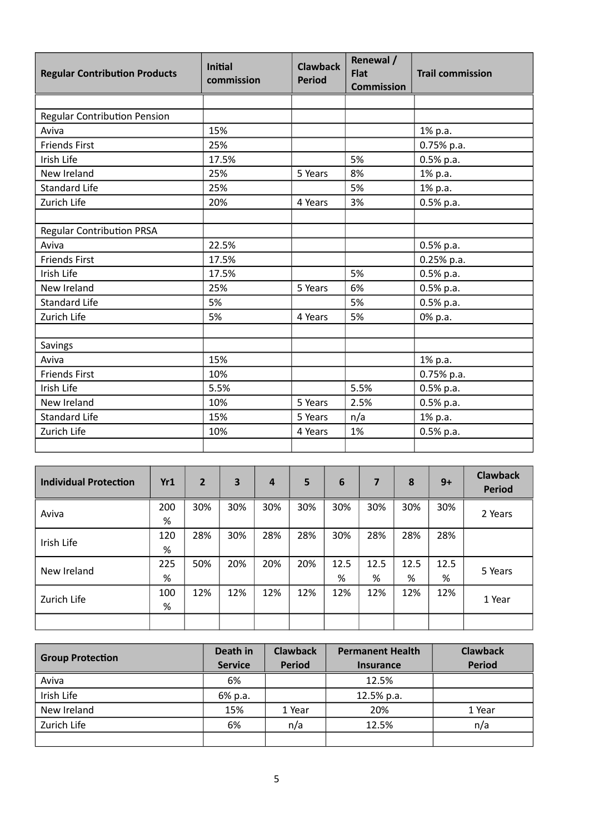| <b>Regular Contribution Products</b> | <b>Initial</b><br>commission | <b>Clawback</b><br><b>Period</b> | Renewal /<br><b>Flat</b><br><b>Commission</b> | <b>Trail commission</b> |
|--------------------------------------|------------------------------|----------------------------------|-----------------------------------------------|-------------------------|
|                                      |                              |                                  |                                               |                         |
| <b>Regular Contribution Pension</b>  |                              |                                  |                                               |                         |
| Aviva                                | 15%                          |                                  |                                               | 1% p.a.                 |
| <b>Friends First</b>                 | 25%                          |                                  |                                               | 0.75% p.a.              |
| Irish Life                           | 17.5%                        |                                  | 5%                                            | 0.5% p.a.               |
| New Ireland                          | 25%                          | 5 Years                          | 8%                                            | 1% p.a.                 |
| <b>Standard Life</b>                 | 25%                          |                                  | 5%                                            | 1% p.a.                 |
| Zurich Life                          | 20%                          | 4 Years                          | 3%                                            | $0.5%$ p.a.             |
|                                      |                              |                                  |                                               |                         |
| <b>Regular Contribution PRSA</b>     |                              |                                  |                                               |                         |
| Aviva                                | 22.5%                        |                                  |                                               | 0.5% p.a.               |
| <b>Friends First</b>                 | 17.5%                        |                                  |                                               | 0.25% p.a.              |
| Irish Life                           | 17.5%                        |                                  | 5%                                            | $0.5%$ p.a.             |
| New Ireland                          | 25%                          | 5 Years                          | 6%                                            | 0.5% p.a.               |
| <b>Standard Life</b>                 | 5%                           |                                  | 5%                                            | $0.5%$ p.a.             |
| Zurich Life                          | 5%                           | 4 Years                          | 5%                                            | 0% p.a.                 |
|                                      |                              |                                  |                                               |                         |
| Savings                              |                              |                                  |                                               |                         |
| Aviva                                | 15%                          |                                  |                                               | 1% p.a.                 |
| <b>Friends First</b>                 | 10%                          |                                  |                                               | 0.75% p.a.              |
| Irish Life                           | 5.5%                         |                                  | 5.5%                                          | 0.5% p.a.               |
| New Ireland                          | 10%                          | 5 Years                          | 2.5%                                          | $0.5%$ p.a.             |
| <b>Standard Life</b>                 | 15%                          | 5 Years                          | n/a                                           | 1% p.a.                 |
| Zurich Life                          | 10%                          | 4 Years                          | 1%                                            | $0.5%$ p.a.             |
|                                      |                              |                                  |                                               |                         |

| <b>Individual Protection</b> | Yr1      | $\overline{2}$ | 3   | $\overline{a}$ | 5   | 6         | 7         | 8         | $9+$      | <b>Clawback</b><br><b>Period</b> |
|------------------------------|----------|----------------|-----|----------------|-----|-----------|-----------|-----------|-----------|----------------------------------|
| Aviva                        | 200<br>% | 30%            | 30% | 30%            | 30% | 30%       | 30%       | 30%       | 30%       | 2 Years                          |
| Irish Life                   | 120<br>% | 28%            | 30% | 28%            | 28% | 30%       | 28%       | 28%       | 28%       |                                  |
| New Ireland                  | 225<br>% | 50%            | 20% | 20%            | 20% | 12.5<br>% | 12.5<br>% | 12.5<br>% | 12.5<br>% | 5 Years                          |
| Zurich Life                  | 100<br>% | 12%            | 12% | 12%            | 12% | 12%       | 12%       | 12%       | 12%       | 1 Year                           |
|                              |          |                |     |                |     |           |           |           |           |                                  |

|                         | Death in       | <b>Clawback</b> | <b>Permanent Health</b> | <b>Clawback</b> |
|-------------------------|----------------|-----------------|-------------------------|-----------------|
| <b>Group Protection</b> | <b>Service</b> | <b>Period</b>   | <b>Insurance</b>        | <b>Period</b>   |
| Aviva                   | 6%             |                 | 12.5%                   |                 |
| Irish Life              | 6% p.a.        |                 | 12.5% p.a.              |                 |
| New Ireland             | 15%            | 1 Year          | 20%                     | 1 Year          |
| Zurich Life             | 6%             | n/a             | 12.5%                   | n/a             |
|                         |                |                 |                         |                 |